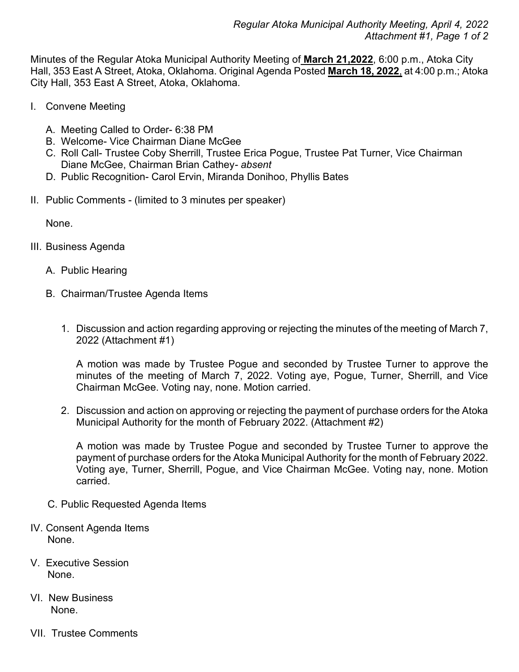Minutes of the Regular Atoka Municipal Authority Meeting of **March 21,2022**, 6:00 p.m., Atoka City Hall, 353 East A Street, Atoka, Oklahoma. Original Agenda Posted **March 18, 2022**, at 4:00 p.m.; Atoka City Hall, 353 East A Street, Atoka, Oklahoma.

- I. Convene Meeting
	- A. Meeting Called to Order- 6:38 PM
	- B. Welcome- Vice Chairman Diane McGee
	- C. Roll Call- Trustee Coby Sherrill, Trustee Erica Pogue, Trustee Pat Turner, Vice Chairman Diane McGee, Chairman Brian Cathey*- absent*
	- D. Public Recognition- Carol Ervin, Miranda Donihoo, Phyllis Bates
- II. Public Comments (limited to 3 minutes per speaker)

None.

- III. Business Agenda
	- A. Public Hearing
	- B. Chairman/Trustee Agenda Items
		- 1. Discussion and action regarding approving or rejecting the minutes of the meeting of March 7, 2022 (Attachment #1)

A motion was made by Trustee Pogue and seconded by Trustee Turner to approve the minutes of the meeting of March 7, 2022. Voting aye, Pogue, Turner, Sherrill, and Vice Chairman McGee. Voting nay, none. Motion carried.

2. Discussion and action on approving or rejecting the payment of purchase orders for the Atoka Municipal Authority for the month of February 2022. (Attachment #2)

A motion was made by Trustee Pogue and seconded by Trustee Turner to approve the payment of purchase orders for the Atoka Municipal Authority for the month of February 2022. Voting aye, Turner, Sherrill, Pogue, and Vice Chairman McGee. Voting nay, none. Motion carried.

- C. Public Requested Agenda Items
- IV. Consent Agenda Items None.
- V. Executive Session None.
- VI. New Business None.
- VII. Trustee Comments